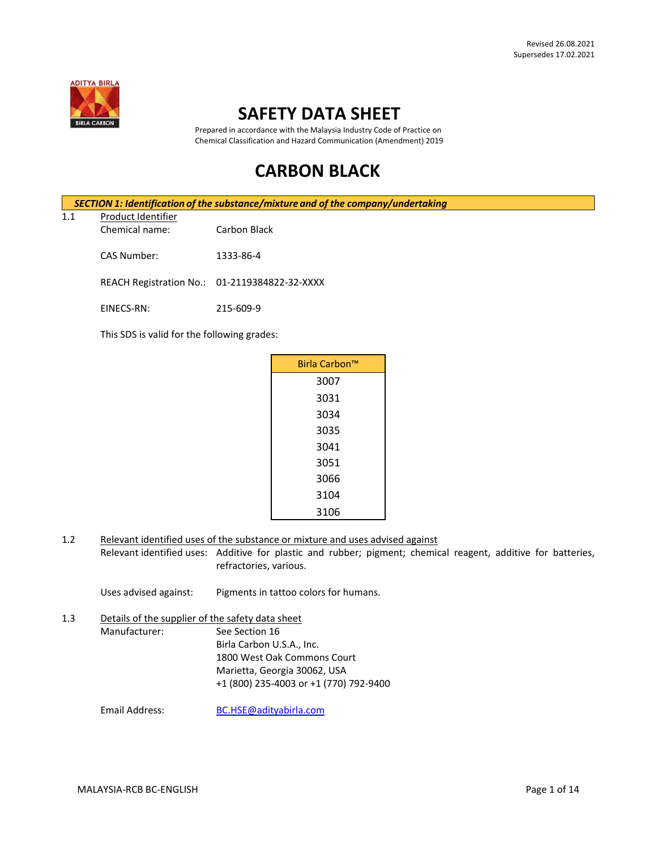

## **SAFETY DATA SHEET**

 Prepared in accordance with the Malaysia Industry Code of Practice on Chemical Classification and Hazard Communication (Amendment) 2019

# **CARBON BLACK**

|     | SECTION 1: Identification of the substance/mixture and of the company/undertaking |              |  |  |
|-----|-----------------------------------------------------------------------------------|--------------|--|--|
| 1.1 | Product Identifier                                                                |              |  |  |
|     | Chemical name:                                                                    | Carbon Black |  |  |
|     | CAS Number:                                                                       | 1333-86-4    |  |  |

REACH Registration No.: 01-2119384822-32-XXXX

EINECS-RN: 215-609-9

This SDS is valid for the following grades:

| Birla Carbon™ |
|---------------|
| 3007          |
| 3031          |
| 3034          |
| 3035          |
| 3041          |
| 3051          |
| 3066          |
| 3104          |
| 3106          |

1.2 Relevant identified uses of the substance or mixture and uses advised against

Relevant identified uses: Additive for plastic and rubber; pigment; chemical reagent, additive for batteries, refractories, various.

Uses advised against: Pigments in tattoo colors for humans.

1.3 Details of the supplier of the safety data sheet Manufacturer: See Section 16 Birla Carbon U.S.A., Inc. 1800 West Oak Commons Court Marietta, Georgia 30062, USA +1 (800) 235-4003 or +1 (770) 792-9400

Email Address: [BC.HSE@adityabirla.com](mailto:BC.HSE@adityabirla.com)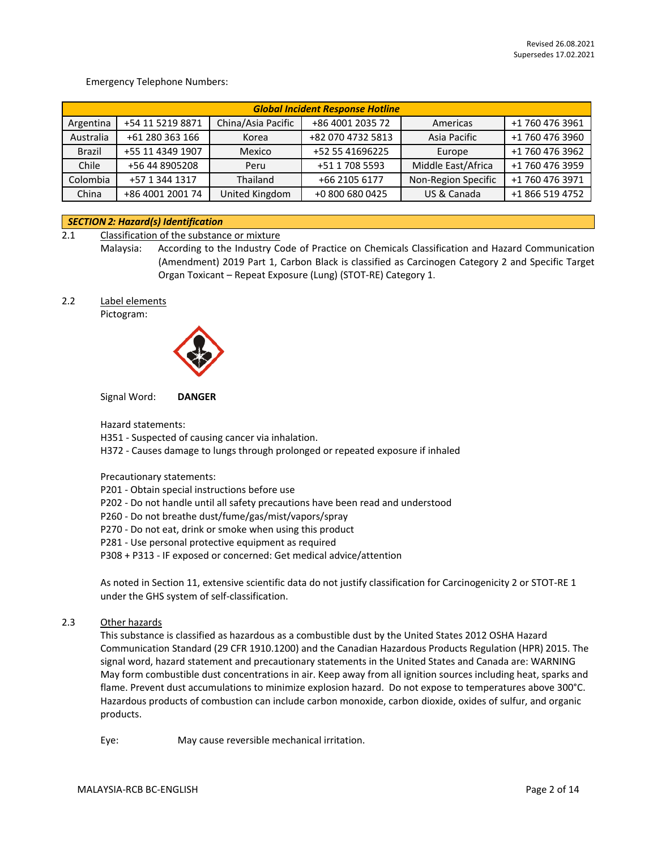Emergency Telephone Numbers:

| <b>Global Incident Response Hotline</b> |                  |                    |                   |                     |                 |
|-----------------------------------------|------------------|--------------------|-------------------|---------------------|-----------------|
| Argentina                               | +54 11 5219 8871 | China/Asia Pacific | +86 4001 2035 72  | Americas            | +1 760 476 3961 |
| Australia                               | +61 280 363 166  | Korea              | +82 070 4732 5813 | Asia Pacific        | +1 760 476 3960 |
| Brazil                                  | +55 11 4349 1907 | Mexico             | +52 55 41696225   | Europe              | +1 760 476 3962 |
| Chile                                   | +56 44 8905208   | Peru               | +51 1 708 5593    | Middle East/Africa  | +1 760 476 3959 |
| Colombia                                | +57 1 344 1317   | Thailand           | +66 2105 6177     | Non-Region Specific | +1 760 476 3971 |
| China                                   | +86 4001 2001 74 | United Kingdom     | +0 800 680 0425   | US & Canada         | +1 866 519 4752 |

#### *SECTION 2: Hazard(s) Identification*

2.1 Classification of the substance or mixture

Malaysia: According to the Industry Code of Practice on Chemicals Classification and Hazard Communication (Amendment) 2019 Part 1, Carbon Black is classified as Carcinogen Category 2 and Specific Target Organ Toxicant – Repeat Exposure (Lung) (STOT-RE) Category 1.

2.2 Label elements

Pictogram:



Signal Word: **DANGER**

Hazard statements:

H351 - Suspected of causing cancer via inhalation.

H372 - Causes damage to lungs through prolonged or repeated exposure if inhaled

Precautionary statements:

P201 - Obtain special instructions before use

- P202 Do not handle until all safety precautions have been read and understood
- P260 Do not breathe dust/fume/gas/mist/vapors/spray
- P270 Do not eat, drink or smoke when using this product
- P281 Use personal protective equipment as required

P308 + P313 - IF exposed or concerned: Get medical advice/attention

As noted in Section 11, extensive scientific data do not justify classification for Carcinogenicity 2 or STOT-RE 1 under the GHS system of self-classification.

2.3 Other hazards

This substance is classified as hazardous as a combustible dust by the United States 2012 OSHA Hazard Communication Standard (29 CFR 1910.1200) and the Canadian Hazardous Products Regulation (HPR) 2015. The signal word, hazard statement and precautionary statements in the United States and Canada are: WARNING May form combustible dust concentrations in air. Keep away from all ignition sources including heat, sparks and flame. Prevent dust accumulations to minimize explosion hazard. Do not expose to temperatures above 300°C. Hazardous products of combustion can include carbon monoxide, carbon dioxide, oxides of sulfur, and organic products.

Eye: May cause reversible mechanical irritation.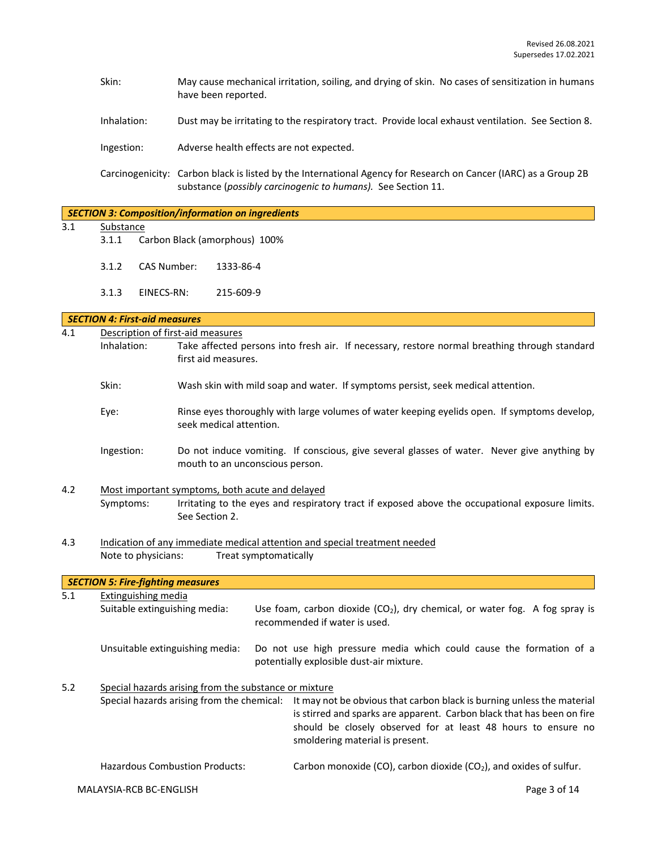- Skin: May cause mechanical irritation, soiling, and drying of skin. No cases of sensitization in humans have been reported.
- Inhalation: Dust may be irritating to the respiratory tract. Provide local exhaust ventilation. See Section 8.

Ingestion: Adverse health effects are not expected.

Carcinogenicity: Carbon black is listed by the International Agency for Research on Cancer (IARC) as a Group 2B substance (*possibly carcinogenic to humans).* See Section 11.

|                         | <b>SECTION 3: Composition/information on ingredients</b> |                                      |                                                                                                 |  |  |
|-------------------------|----------------------------------------------------------|--------------------------------------|-------------------------------------------------------------------------------------------------|--|--|
| 3.1<br><b>Substance</b> |                                                          |                                      |                                                                                                 |  |  |
|                         | 3.1.1                                                    |                                      | Carbon Black (amorphous) 100%                                                                   |  |  |
|                         |                                                          |                                      |                                                                                                 |  |  |
|                         | 3.1.2                                                    | <b>CAS Number:</b>                   | 1333-86-4                                                                                       |  |  |
|                         |                                                          |                                      |                                                                                                 |  |  |
|                         | 3.1.3                                                    | EINECS-RN:                           | 215-609-9                                                                                       |  |  |
|                         |                                                          |                                      |                                                                                                 |  |  |
|                         |                                                          | <b>SECTION 4: First-aid measures</b> |                                                                                                 |  |  |
| 4.1                     |                                                          |                                      | Description of first-aid measures                                                               |  |  |
|                         | Inhalation:                                              |                                      | Take affected persons into fresh air. If necessary, restore normal breathing through standard   |  |  |
|                         |                                                          |                                      | first aid measures.                                                                             |  |  |
|                         |                                                          |                                      |                                                                                                 |  |  |
|                         | Skin:                                                    |                                      | Wash skin with mild soap and water. If symptoms persist, seek medical attention.                |  |  |
|                         |                                                          |                                      |                                                                                                 |  |  |
|                         | Eye:                                                     |                                      | Rinse eyes thoroughly with large volumes of water keeping eyelids open. If symptoms develop,    |  |  |
|                         |                                                          |                                      | seek medical attention.                                                                         |  |  |
|                         | Ingestion:                                               |                                      | Do not induce vomiting. If conscious, give several glasses of water. Never give anything by     |  |  |
|                         |                                                          |                                      | mouth to an unconscious person.                                                                 |  |  |
|                         |                                                          |                                      |                                                                                                 |  |  |
| 4.2                     |                                                          |                                      | Most important symptoms, both acute and delayed                                                 |  |  |
|                         | Symptoms:                                                |                                      | Irritating to the eyes and respiratory tract if exposed above the occupational exposure limits. |  |  |
|                         |                                                          |                                      | See Section 2.                                                                                  |  |  |
|                         |                                                          |                                      |                                                                                                 |  |  |

4.3 Indication of any immediate medical attention and special treatment needed Note to physicians: Treat symptomatically

*SECTION 5: Fire-fighting measures* 5.1 Extinguishing media Suitable extinguishing media: Use foam, carbon dioxide  $(CO<sub>2</sub>)$ , dry chemical, or water fog. A fog spray is recommended if water is used. Unsuitable extinguishing media: Do not use high pressure media which could cause the formation of a potentially explosible dust-air mixture. 5.2 Special hazards arising from the substance or mixture Special hazards arising from the chemical: It may not be obvious that carbon black is burning unless the material is stirred and sparks are apparent. Carbon black that has been on fire should be closely observed for at least 48 hours to ensure no smoldering material is present. Hazardous Combustion Products: Carbon monoxide (CO), carbon dioxide (CO<sub>2</sub>), and oxides of sulfur.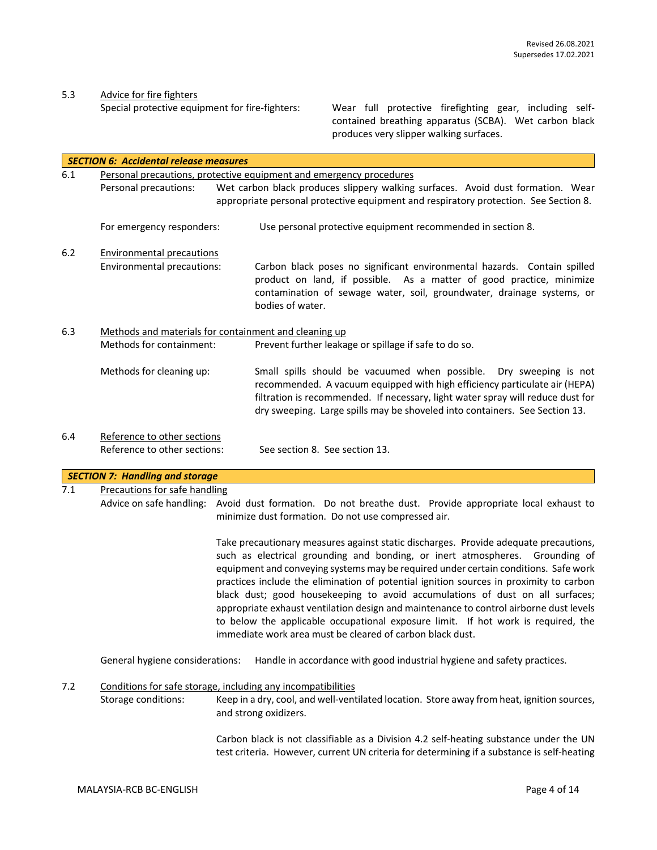5.3 Advice for fire fighters<br>Special protective equipment for fire-fighters:

Wear full protective firefighting gear, including selfcontained breathing apparatus (SCBA). Wet carbon black produces very slipper walking surfaces.

|     | <b>SECTION 6: Accidental release measures</b>                                                            |                                                                                                                                                                                                                                                                                                                                                                                                                                                                                                                                                                                                                                                                                    |  |  |  |
|-----|----------------------------------------------------------------------------------------------------------|------------------------------------------------------------------------------------------------------------------------------------------------------------------------------------------------------------------------------------------------------------------------------------------------------------------------------------------------------------------------------------------------------------------------------------------------------------------------------------------------------------------------------------------------------------------------------------------------------------------------------------------------------------------------------------|--|--|--|
| 6.1 |                                                                                                          | Personal precautions, protective equipment and emergency procedures                                                                                                                                                                                                                                                                                                                                                                                                                                                                                                                                                                                                                |  |  |  |
|     | Wet carbon black produces slippery walking surfaces. Avoid dust formation. Wear<br>Personal precautions: |                                                                                                                                                                                                                                                                                                                                                                                                                                                                                                                                                                                                                                                                                    |  |  |  |
|     |                                                                                                          | appropriate personal protective equipment and respiratory protection. See Section 8.                                                                                                                                                                                                                                                                                                                                                                                                                                                                                                                                                                                               |  |  |  |
|     | For emergency responders:                                                                                | Use personal protective equipment recommended in section 8.                                                                                                                                                                                                                                                                                                                                                                                                                                                                                                                                                                                                                        |  |  |  |
| 6.2 | <b>Environmental precautions</b>                                                                         |                                                                                                                                                                                                                                                                                                                                                                                                                                                                                                                                                                                                                                                                                    |  |  |  |
|     | Environmental precautions:                                                                               | Carbon black poses no significant environmental hazards. Contain spilled<br>product on land, if possible. As a matter of good practice, minimize<br>contamination of sewage water, soil, groundwater, drainage systems, or<br>bodies of water.                                                                                                                                                                                                                                                                                                                                                                                                                                     |  |  |  |
| 6.3 |                                                                                                          | Methods and materials for containment and cleaning up                                                                                                                                                                                                                                                                                                                                                                                                                                                                                                                                                                                                                              |  |  |  |
|     | Methods for containment:                                                                                 | Prevent further leakage or spillage if safe to do so.                                                                                                                                                                                                                                                                                                                                                                                                                                                                                                                                                                                                                              |  |  |  |
|     | Methods for cleaning up:                                                                                 | Small spills should be vacuumed when possible.<br>Dry sweeping is not<br>recommended. A vacuum equipped with high efficiency particulate air (HEPA)<br>filtration is recommended. If necessary, light water spray will reduce dust for<br>dry sweeping. Large spills may be shoveled into containers. See Section 13.                                                                                                                                                                                                                                                                                                                                                              |  |  |  |
| 6.4 | Reference to other sections                                                                              |                                                                                                                                                                                                                                                                                                                                                                                                                                                                                                                                                                                                                                                                                    |  |  |  |
|     | Reference to other sections:                                                                             | See section 8. See section 13.                                                                                                                                                                                                                                                                                                                                                                                                                                                                                                                                                                                                                                                     |  |  |  |
|     | <b>SECTION 7: Handling and storage</b>                                                                   |                                                                                                                                                                                                                                                                                                                                                                                                                                                                                                                                                                                                                                                                                    |  |  |  |
| 7.1 | Precautions for safe handling                                                                            |                                                                                                                                                                                                                                                                                                                                                                                                                                                                                                                                                                                                                                                                                    |  |  |  |
|     |                                                                                                          | Advice on safe handling: Avoid dust formation. Do not breathe dust. Provide appropriate local exhaust to<br>minimize dust formation. Do not use compressed air.                                                                                                                                                                                                                                                                                                                                                                                                                                                                                                                    |  |  |  |
|     |                                                                                                          | Take precautionary measures against static discharges. Provide adequate precautions,<br>such as electrical grounding and bonding, or inert atmospheres. Grounding of<br>equipment and conveying systems may be required under certain conditions. Safe work<br>practices include the elimination of potential ignition sources in proximity to carbon<br>black dust; good housekeeping to avoid accumulations of dust on all surfaces;<br>appropriate exhaust ventilation design and maintenance to control airborne dust levels<br>to below the applicable occupational exposure limit. If hot work is required, the<br>immediate work area must be cleared of carbon black dust. |  |  |  |
|     | General hygiene considerations:                                                                          | Handle in accordance with good industrial hygiene and safety practices.                                                                                                                                                                                                                                                                                                                                                                                                                                                                                                                                                                                                            |  |  |  |
| 7.2 |                                                                                                          | Conditions for safe storage, including any incompatibilities                                                                                                                                                                                                                                                                                                                                                                                                                                                                                                                                                                                                                       |  |  |  |
|     | Storage conditions:                                                                                      | Keep in a dry, cool, and well-ventilated location. Store away from heat, ignition sources,<br>and strong oxidizers.                                                                                                                                                                                                                                                                                                                                                                                                                                                                                                                                                                |  |  |  |
|     |                                                                                                          | Carbon black is not classifiable as a Division 4.2 self-heating substance under the UN<br>test criteria. However, current UN criteria for determining if a substance is self-heating                                                                                                                                                                                                                                                                                                                                                                                                                                                                                               |  |  |  |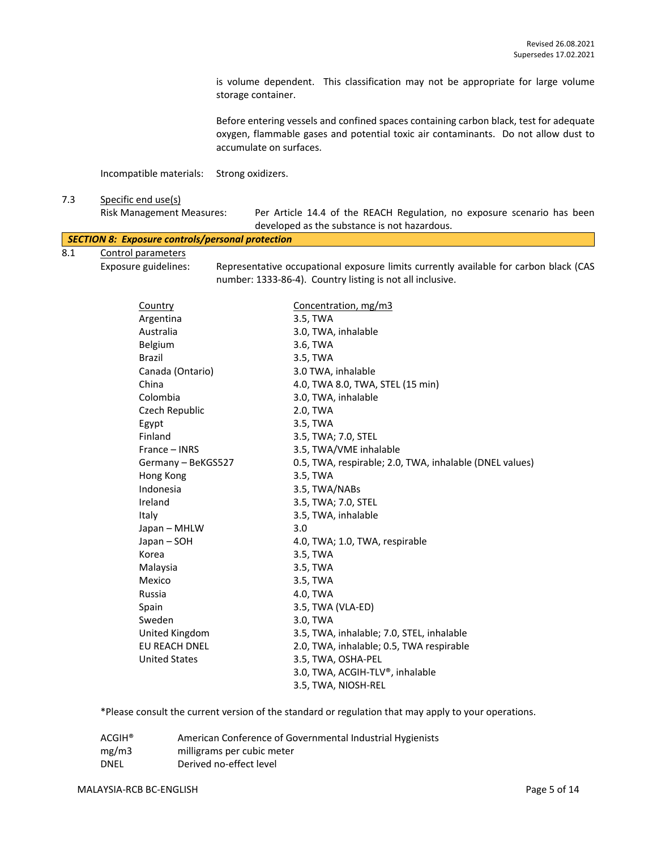is volume dependent. This classification may not be appropriate for large volume storage container.

Before entering vessels and confined spaces containing carbon black, test for adequate oxygen, flammable gases and potential toxic air contaminants. Do not allow dust to accumulate on surfaces.

Incompatible materials: Strong oxidizers.

#### 7.3 Specific end use(s)

|     | <b>Risk Management Measures:</b>                 | Per Article 14.4 of the REACH Regulation, no exposure scenario has been               |
|-----|--------------------------------------------------|---------------------------------------------------------------------------------------|
|     |                                                  | developed as the substance is not hazardous.                                          |
|     | SECTION 8: Exposure controls/personal protection |                                                                                       |
| 8.1 | Control parameters                               |                                                                                       |
|     | Exposure guidelines:                             | Representative occupational exposure limits currently available for carbon black (CAS |

number: 1333-86-4). Country listing is not all inclusive.

Country Concentration, mg/m3 Argentina 3.5, TWA Australia 3.0, TWA, inhalable Belgium 3.6, TWA Brazil 3.5, TWA Canada (Ontario) 3.0 TWA, inhalable China 4.0, TWA 8.0, TWA, STEL (15 min) Colombia 3.0, TWA, inhalable Czech Republic 2.0, TWA Egypt 3.5, TWA Finland 3.5, TWA; 7.0, STEL France – INRS 3.5, TWA/VME inhalable Germany – BeKGS527 0.5, TWA, respirable; 2.0, TWA, inhalable (DNEL values) Hong Kong 3.5, TWA Indonesia 3.5, TWA/NABs Ireland 3.5, TWA; 7.0, STEL Italy 3.5, TWA, inhalable Japan – MHLW 3.0 Japan – SOH 4.0, TWA; 1.0, TWA, respirable Korea 3.5, TWA Malaysia 3.5, TWA Mexico 3.5, TWA Russia 4.0, TWA Spain 3.5, TWA (VLA-ED) Sweden 3.0, TWA United Kingdom 3.5, TWA, inhalable; 7.0, STEL, inhalable EU REACH DNEL 2.0, TWA, inhalable; 0.5, TWA respirable United States 3.5, TWA, OSHA-PEL 3.0, TWA, ACGIH-TLV®, inhalable 3.5, TWA, NIOSH-REL

\*Please consult the current version of the standard or regulation that may apply to your operations.

| $ACGIH^*$   | American Conference of Governmental Industrial Hygienists |
|-------------|-----------------------------------------------------------|
| mg/m3       | milligrams per cubic meter                                |
| <b>DNEL</b> | Derived no-effect level                                   |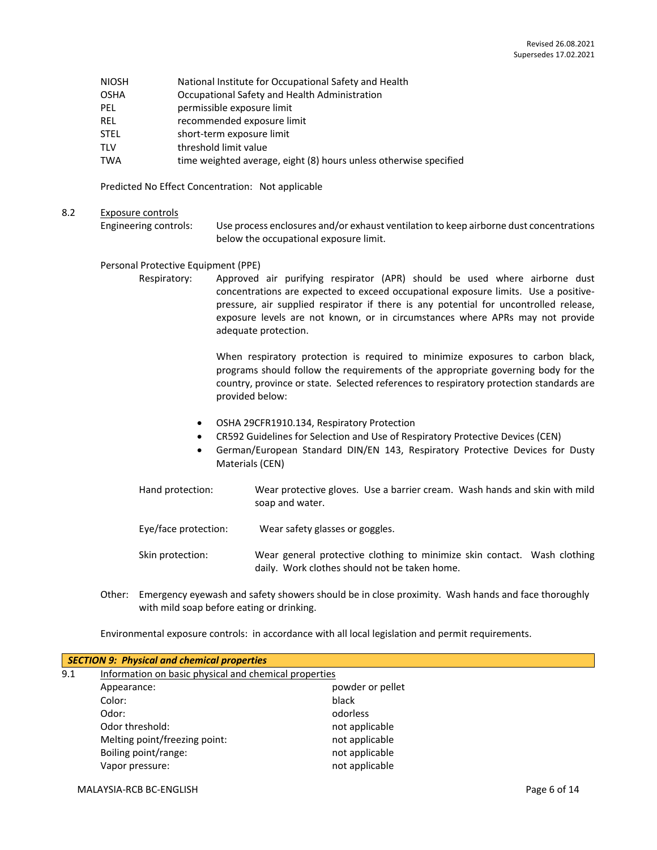- NIOSH National Institute for Occupational Safety and Health
- OSHA Occupational Safety and Health Administration
- PEL permissible exposure limit
- REL recommended exposure limit
- STEL short-term exposure limit
- TLV threshold limit value
- TWA time weighted average, eight (8) hours unless otherwise specified

Predicted No Effect Concentration: Not applicable

8.2 Exposure controls

Engineering controls: Use process enclosures and/or exhaust ventilation to keep airborne dust concentrations below the occupational exposure limit.

#### Personal Protective Equipment (PPE)

Respiratory: Approved air purifying respirator (APR) should be used where airborne dust concentrations are expected to exceed occupational exposure limits. Use a positivepressure, air supplied respirator if there is any potential for uncontrolled release, exposure levels are not known, or in circumstances where APRs may not provide adequate protection.

> When respiratory protection is required to minimize exposures to carbon black, programs should follow the requirements of the appropriate governing body for the country, province or state. Selected references to respiratory protection standards are provided below:

- OSHA 29CFR1910.134, Respiratory Protection
- CR592 Guidelines for Selection and Use of Respiratory Protective Devices (CEN)
- German/European Standard DIN/EN 143, Respiratory Protective Devices for Dusty Materials (CEN)

Hand protection: Wear protective gloves. Use a barrier cream. Wash hands and skin with mild soap and water.

- Eye/face protection: Wear safety glasses or goggles.
- Skin protection: Wear general protective clothing to minimize skin contact. Wash clothing daily. Work clothes should not be taken home.
- Other: Emergency eyewash and safety showers should be in close proximity. Wash hands and face thoroughly with mild soap before eating or drinking.

Environmental exposure controls: in accordance with all local legislation and permit requirements.

|     | <b>SECTION 9: Physical and chemical properties</b>    |                  |  |
|-----|-------------------------------------------------------|------------------|--|
| 9.1 | Information on basic physical and chemical properties |                  |  |
|     | Appearance:                                           | powder or pellet |  |
|     | Color:                                                | black            |  |
|     | Odor:                                                 | odorless         |  |
|     | Odor threshold:                                       | not applicable   |  |
|     | Melting point/freezing point:                         | not applicable   |  |
|     | Boiling point/range:                                  | not applicable   |  |
|     | Vapor pressure:                                       | not applicable   |  |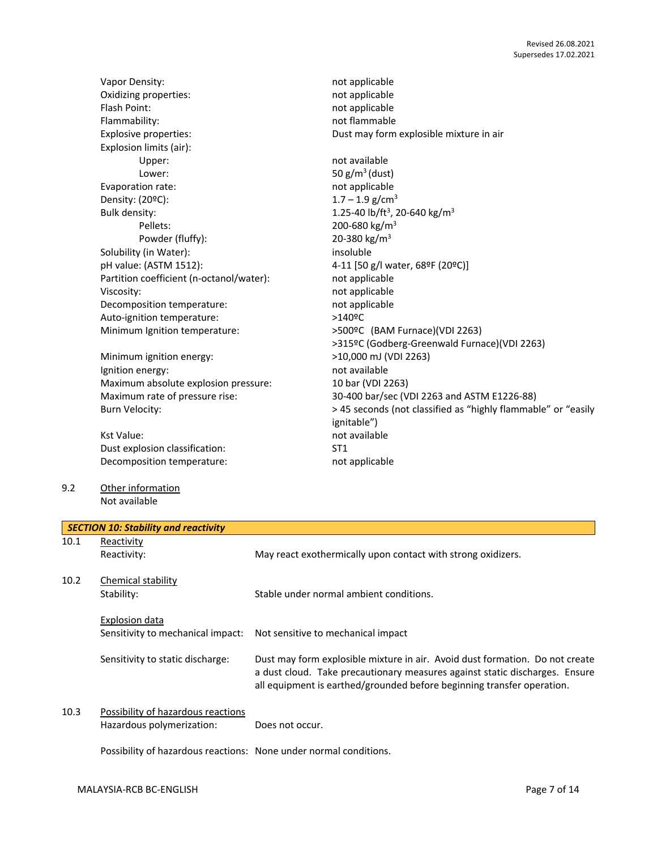|      | Vapor Density:                              | not applicable                                                               |
|------|---------------------------------------------|------------------------------------------------------------------------------|
|      | Oxidizing properties:                       | not applicable                                                               |
|      | Flash Point:                                | not applicable                                                               |
|      | Flammability:                               | not flammable                                                                |
|      | Explosive properties:                       | Dust may form explosible mixture in air                                      |
|      | Explosion limits (air):                     |                                                                              |
|      | Upper:                                      | not available                                                                |
|      | Lower:                                      | 50 $g/m^3$ (dust)                                                            |
|      | Evaporation rate:                           | not applicable                                                               |
|      | Density: (20ºC):                            | $1.7 - 1.9$ g/cm <sup>3</sup>                                                |
|      | Bulk density:                               | 1.25-40 lb/ft <sup>3</sup> , 20-640 kg/m <sup>3</sup>                        |
|      | Pellets:                                    | 200-680 kg/m <sup>3</sup>                                                    |
|      | Powder (fluffy):                            | 20-380 kg/m <sup>3</sup>                                                     |
|      | Solubility (in Water):                      | insoluble                                                                    |
|      | pH value: (ASTM 1512):                      | 4-11 [50 g/l water, 68ºF (20ºC)]                                             |
|      | Partition coefficient (n-octanol/water):    | not applicable                                                               |
|      | Viscosity:                                  | not applicable                                                               |
|      | Decomposition temperature:                  | not applicable                                                               |
|      | Auto-ignition temperature:                  | >140ºC                                                                       |
|      | Minimum Ignition temperature:               | >500ºC (BAM Furnace)(VDI 2263)                                               |
|      |                                             | >315ºC (Godberg-Greenwald Furnace)(VDI 2263)                                 |
|      | Minimum ignition energy:                    | >10,000 mJ (VDI 2263)                                                        |
|      | Ignition energy:                            | not available                                                                |
|      | Maximum absolute explosion pressure:        | 10 bar (VDI 2263)                                                            |
|      | Maximum rate of pressure rise:              | 30-400 bar/sec (VDI 2263 and ASTM E1226-88)                                  |
|      | <b>Burn Velocity:</b>                       | > 45 seconds (not classified as "highly flammable" or "easily                |
|      |                                             | ignitable")                                                                  |
|      | <b>Kst Value:</b>                           | not available                                                                |
|      | Dust explosion classification:              | ST <sub>1</sub>                                                              |
|      | Decomposition temperature:                  | not applicable                                                               |
|      |                                             |                                                                              |
| 9.2  | Other information                           |                                                                              |
|      | Not available                               |                                                                              |
|      | <b>SECTION 10: Stability and reactivity</b> |                                                                              |
| 10.1 | Reactivity                                  |                                                                              |
|      | Reactivity:                                 | May react exothermically upon contact with strong oxidizers.                 |
|      |                                             |                                                                              |
| 10.2 | Chemical stability                          |                                                                              |
|      | Stability:                                  | Stable under normal ambient conditions.                                      |
|      |                                             |                                                                              |
|      | <b>Explosion data</b>                       |                                                                              |
|      | Sensitivity to mechanical impact:           | Not sensitive to mechanical impact                                           |
|      |                                             |                                                                              |
|      | Sensitivity to static discharge:            | Dust may form explosible mixture in air. Avoid dust formation. Do not create |
|      |                                             | a dust cloud. Take precautionary measures against static discharges. Ensure  |
|      |                                             | all equipment is earthed/grounded before beginning transfer operation.       |
|      |                                             |                                                                              |
| 10.3 | Possibility of hazardous reactions          |                                                                              |

Hazardous polymerization: Does not occur.

Possibility of hazardous reactions: None under normal conditions.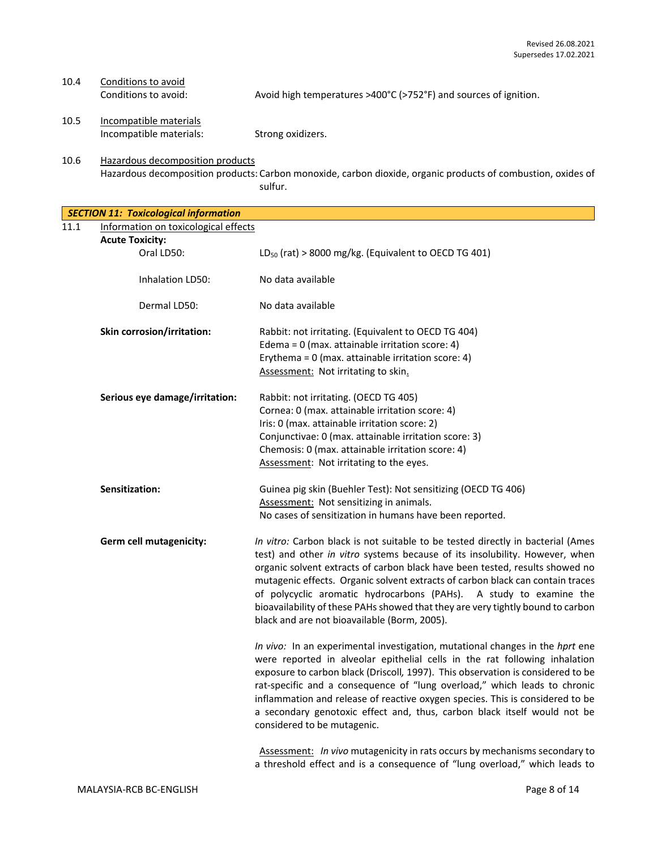# 10.4 Conditions to avoid:<br>Conditions to avoid:

Avoid high temperatures >400°C (>752°F) and sources of ignition.

10.5 Incompatible materials Incompatible materials: Strong oxidizers.

10.6 Hazardous decomposition products Hazardous decomposition products: Carbon monoxide, carbon dioxide, organic products of combustion, oxides of sulfur.

*SECTION 11: Toxicological information* 11.1 Information on toxicological effects

| <u>Information on toxicological effects</u>                                                                                                                                                                                                                                                                                                                                                                                                                                                                                               |
|-------------------------------------------------------------------------------------------------------------------------------------------------------------------------------------------------------------------------------------------------------------------------------------------------------------------------------------------------------------------------------------------------------------------------------------------------------------------------------------------------------------------------------------------|
|                                                                                                                                                                                                                                                                                                                                                                                                                                                                                                                                           |
| LD <sub>50</sub> (rat) > 8000 mg/kg. (Equivalent to OECD TG 401)                                                                                                                                                                                                                                                                                                                                                                                                                                                                          |
| No data available                                                                                                                                                                                                                                                                                                                                                                                                                                                                                                                         |
| No data available                                                                                                                                                                                                                                                                                                                                                                                                                                                                                                                         |
| Rabbit: not irritating. (Equivalent to OECD TG 404)<br>Edema = $0$ (max. attainable irritation score: 4)<br>Erythema = 0 (max. attainable irritation score: 4)<br>Assessment: Not irritating to skin.                                                                                                                                                                                                                                                                                                                                     |
| Rabbit: not irritating. (OECD TG 405)                                                                                                                                                                                                                                                                                                                                                                                                                                                                                                     |
| Cornea: 0 (max. attainable irritation score: 4)                                                                                                                                                                                                                                                                                                                                                                                                                                                                                           |
| Iris: 0 (max. attainable irritation score: 2)                                                                                                                                                                                                                                                                                                                                                                                                                                                                                             |
| Conjunctivae: 0 (max. attainable irritation score: 3)                                                                                                                                                                                                                                                                                                                                                                                                                                                                                     |
| Chemosis: 0 (max. attainable irritation score: 4)                                                                                                                                                                                                                                                                                                                                                                                                                                                                                         |
| Assessment: Not irritating to the eyes.                                                                                                                                                                                                                                                                                                                                                                                                                                                                                                   |
| Guinea pig skin (Buehler Test): Not sensitizing (OECD TG 406)                                                                                                                                                                                                                                                                                                                                                                                                                                                                             |
| Assessment: Not sensitizing in animals.                                                                                                                                                                                                                                                                                                                                                                                                                                                                                                   |
| No cases of sensitization in humans have been reported.                                                                                                                                                                                                                                                                                                                                                                                                                                                                                   |
| In vitro: Carbon black is not suitable to be tested directly in bacterial (Ames<br>test) and other in vitro systems because of its insolubility. However, when<br>organic solvent extracts of carbon black have been tested, results showed no<br>mutagenic effects. Organic solvent extracts of carbon black can contain traces<br>of polycyclic aromatic hydrocarbons (PAHs). A study to examine the<br>bioavailability of these PAHs showed that they are very tightly bound to carbon<br>black and are not bioavailable (Borm, 2005). |
| In vivo: In an experimental investigation, mutational changes in the hprt ene<br>were reported in alveolar epithelial cells in the rat following inhalation<br>exposure to carbon black (Driscoll, 1997). This observation is considered to be<br>rat-specific and a consequence of "lung overload," which leads to chronic<br>inflammation and release of reactive oxygen species. This is considered to be<br>a secondary genotoxic effect and, thus, carbon black itself would not be<br>considered to be mutagenic.                   |
|                                                                                                                                                                                                                                                                                                                                                                                                                                                                                                                                           |

Assessment: *In vivo* mutagenicity in rats occurs by mechanisms secondary to a threshold effect and is a consequence of "lung overload," which leads to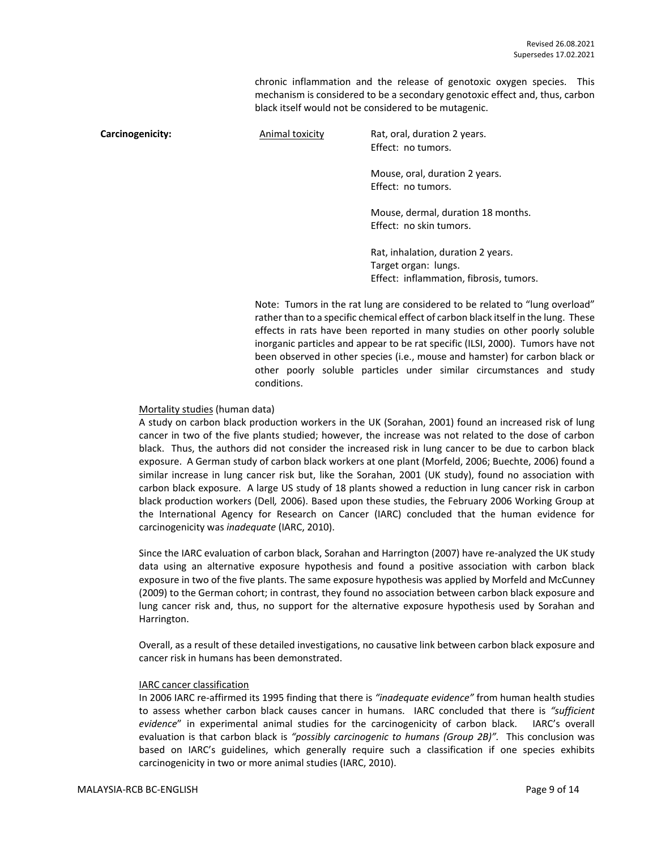chronic inflammation and the release of genotoxic oxygen species. This mechanism is considered to be a secondary genotoxic effect and, thus, carbon black itself would not be considered to be mutagenic.

**Carcinogenicity:** Animal toxicity Rat, oral, duration 2 years. Effect: no tumors. Mouse, oral, duration 2 years. Effect: no tumors. Mouse, dermal, duration 18 months. Effect: no skin tumors. Rat, inhalation, duration 2 years. Target organ: lungs. Effect: inflammation, fibrosis, tumors.

> Note: Tumors in the rat lung are considered to be related to "lung overload" rather than to a specific chemical effect of carbon black itself in the lung. These effects in rats have been reported in many studies on other poorly soluble inorganic particles and appear to be rat specific (ILSI, 2000). Tumors have not been observed in other species (i.e., mouse and hamster) for carbon black or other poorly soluble particles under similar circumstances and study conditions.

#### Mortality studies (human data)

A study on carbon black production workers in the UK (Sorahan, 2001) found an increased risk of lung cancer in two of the five plants studied; however, the increase was not related to the dose of carbon black. Thus, the authors did not consider the increased risk in lung cancer to be due to carbon black exposure. A German study of carbon black workers at one plant (Morfeld, 2006; Buechte, 2006) found a similar increase in lung cancer risk but, like the Sorahan, 2001 (UK study), found no association with carbon black exposure. A large US study of 18 plants showed a reduction in lung cancer risk in carbon black production workers (Dell*,* 2006). Based upon these studies, the February 2006 Working Group at the International Agency for Research on Cancer (IARC) concluded that the human evidence for carcinogenicity was *inadequate* (IARC, 2010).

Since the IARC evaluation of carbon black, Sorahan and Harrington (2007) have re-analyzed the UK study data using an alternative exposure hypothesis and found a positive association with carbon black exposure in two of the five plants. The same exposure hypothesis was applied by Morfeld and McCunney (2009) to the German cohort; in contrast, they found no association between carbon black exposure and lung cancer risk and, thus, no support for the alternative exposure hypothesis used by Sorahan and Harrington.

Overall, as a result of these detailed investigations, no causative link between carbon black exposure and cancer risk in humans has been demonstrated.

#### IARC cancer classification

In 2006 IARC re-affirmed its 1995 finding that there is *"inadequate evidence"* from human health studies to assess whether carbon black causes cancer in humans. IARC concluded that there is *"sufficient evidence*" in experimental animal studies for the carcinogenicity of carbon black. IARC's overall evaluation is that carbon black is *"possibly carcinogenic to humans (Group 2B)".* This conclusion was based on IARC's guidelines, which generally require such a classification if one species exhibits carcinogenicity in two or more animal studies (IARC, 2010).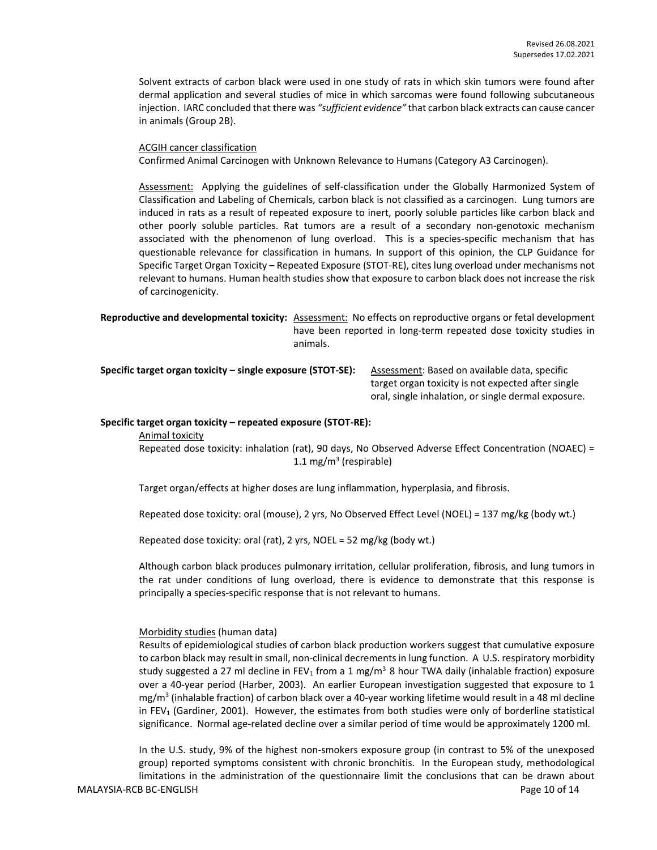Solvent extracts of carbon black were used in one study of rats in which skin tumors were found after dermal application and several studies of mice in which sarcomas were found following subcutaneous injection. IARC concluded that there was *"sufficient evidence"* that carbon black extracts can cause cancer in animals (Group 2B).

#### ACGIH cancer classification

Confirmed Animal Carcinogen with Unknown Relevance to Humans (Category A3 Carcinogen).

Assessment: Applying the guidelines of self-classification under the Globally Harmonized System of Classification and Labeling of Chemicals, carbon black is not classified as a carcinogen. Lung tumors are induced in rats as a result of repeated exposure to inert, poorly soluble particles like carbon black and other poorly soluble particles. Rat tumors are a result of a secondary non-genotoxic mechanism associated with the phenomenon of lung overload. This is a species-specific mechanism that has questionable relevance for classification in humans. In support of this opinion, the CLP Guidance for Specific Target Organ Toxicity – Repeated Exposure (STOT-RE), cites lung overload under mechanisms not relevant to humans. Human health studies show that exposure to carbon black does not increase the risk of carcinogenicity.

**Reproductive and developmental toxicity:** Assessment: No effects on reproductive organs or fetal development have been reported in long-term repeated dose toxicity studies in animals.

**Specific target organ toxicity – single exposure (STOT-SE):** Assessment: Based on available data, specific

target organ toxicity is not expected after single oral, single inhalation, or single dermal exposure.

#### **Specific target organ toxicity – repeated exposure (STOT-RE):**

Animal toxicity

Repeated dose toxicity: inhalation (rat), 90 days, No Observed Adverse Effect Concentration (NOAEC) = 1.1 mg/m<sup>3</sup> (respirable)

Target organ/effects at higher doses are lung inflammation, hyperplasia, and fibrosis.

Repeated dose toxicity: oral (mouse), 2 yrs, No Observed Effect Level (NOEL) = 137 mg/kg (body wt.)

Repeated dose toxicity: oral (rat), 2 yrs, NOEL = 52 mg/kg (body wt.)

Although carbon black produces pulmonary irritation, cellular proliferation, fibrosis, and lung tumors in the rat under conditions of lung overload, there is evidence to demonstrate that this response is principally a species-specific response that is not relevant to humans.

#### Morbidity studies (human data)

Results of epidemiological studies of carbon black production workers suggest that cumulative exposure to carbon black may result in small, non-clinical decrements in lung function. A U.S. respiratory morbidity study suggested a 27 ml decline in FEV<sub>1</sub> from a 1 mg/m<sup>3</sup> 8 hour TWA daily (inhalable fraction) exposure over a 40-year period (Harber, 2003). An earlier European investigation suggested that exposure to 1 mg/m<sup>3</sup> (inhalable fraction) of carbon black over a 40-year working lifetime would result in a 48 ml decline in FEV<sub>1</sub> (Gardiner, 2001). However, the estimates from both studies were only of borderline statistical significance. Normal age-related decline over a similar period of time would be approximately 1200 ml.

MALAYSIA-RCB BC-ENGLISH **Page 10** of 14 In the U.S. study, 9% of the highest non-smokers exposure group (in contrast to 5% of the unexposed group) reported symptoms consistent with chronic bronchitis. In the European study, methodological limitations in the administration of the questionnaire limit the conclusions that can be drawn about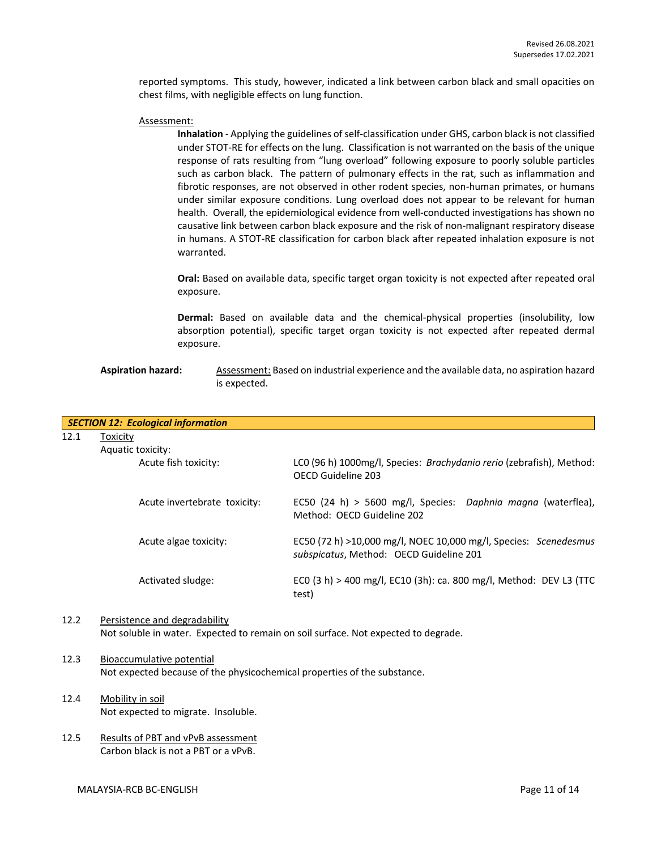reported symptoms. This study, however, indicated a link between carbon black and small opacities on chest films, with negligible effects on lung function.

#### Assessment:

**Inhalation** - Applying the guidelines of self-classification under GHS, carbon black is not classified under STOT-RE for effects on the lung. Classification is not warranted on the basis of the unique response of rats resulting from "lung overload" following exposure to poorly soluble particles such as carbon black. The pattern of pulmonary effects in the rat, such as inflammation and fibrotic responses, are not observed in other rodent species, non-human primates, or humans under similar exposure conditions. Lung overload does not appear to be relevant for human health. Overall, the epidemiological evidence from well-conducted investigations has shown no causative link between carbon black exposure and the risk of non-malignant respiratory disease in humans. A STOT-RE classification for carbon black after repeated inhalation exposure is not warranted.

**Oral:** Based on available data, specific target organ toxicity is not expected after repeated oral exposure.

**Dermal:** Based on available data and the chemical-physical properties (insolubility, low absorption potential), specific target organ toxicity is not expected after repeated dermal exposure.

#### Aspiration hazard: Assessment: Based on industrial experience and the available data, no aspiration hazard is expected.

|      | <b>SECTION 12: Ecological information</b> |                                                                                                             |
|------|-------------------------------------------|-------------------------------------------------------------------------------------------------------------|
| 12.1 | Toxicity                                  |                                                                                                             |
|      | Aquatic toxicity:                         |                                                                                                             |
|      | Acute fish toxicity:                      | LCO (96 h) 1000mg/l, Species: Brachydanio rerio (zebrafish), Method:<br>OFCD Guideline 203                  |
|      | Acute invertebrate toxicity:              | EC50 (24 h) > 5600 mg/l, Species: Daphnia magna (waterflea),<br>Method: OECD Guideline 202                  |
|      | Acute algae toxicity:                     | EC50 (72 h) >10,000 mg/l, NOEC 10,000 mg/l, Species: Scenedesmus<br>subspicatus, Method: OECD Guideline 201 |
|      | Activated sludge:                         | ECO (3 h) > 400 mg/l, EC10 (3h): ca. 800 mg/l, Method: DEV L3 (TTC<br>test)                                 |

#### 12.2 Persistence and degradability Not soluble in water. Expected to remain on soil surface. Not expected to degrade.

### 12.3 Bioaccumulative potential Not expected because of the physicochemical properties of the substance.

- 12.4 Mobility in soil Not expected to migrate. Insoluble.
- 12.5 Results of PBT and vPvB assessment Carbon black is not a PBT or a vPvB.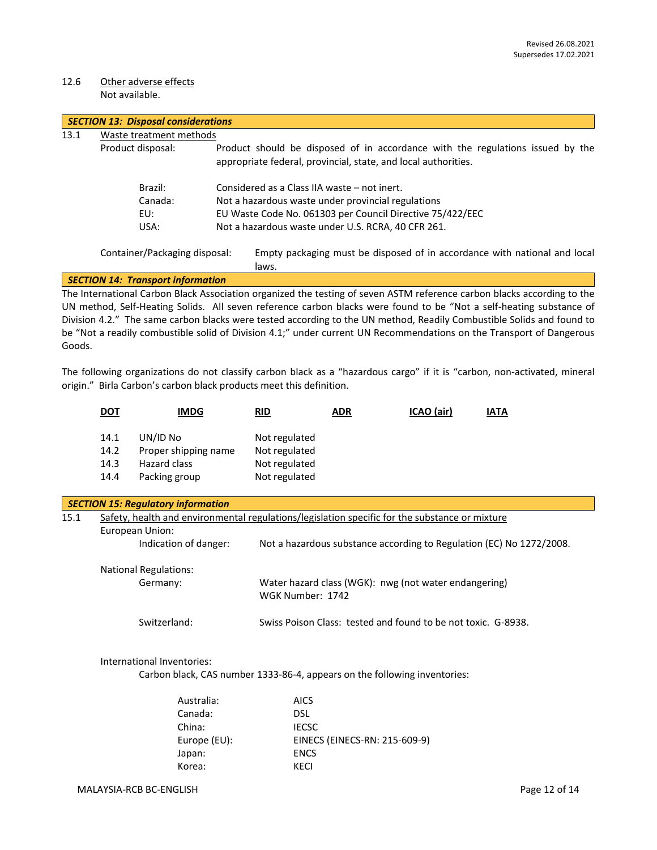#### 12.6 Other adverse effects Not available.

| <b>SECTION 13: Disposal considerations</b> |                                          |                                                                                                                                                  |  |  |
|--------------------------------------------|------------------------------------------|--------------------------------------------------------------------------------------------------------------------------------------------------|--|--|
| 13.1                                       | Waste treatment methods                  |                                                                                                                                                  |  |  |
| Product disposal:                          |                                          | Product should be disposed of in accordance with the regulations issued by the<br>appropriate federal, provincial, state, and local authorities. |  |  |
|                                            | Brazil:                                  | Considered as a Class IIA waste – not inert.                                                                                                     |  |  |
|                                            | Canada:                                  | Not a hazardous waste under provincial regulations                                                                                               |  |  |
|                                            | EU:                                      | EU Waste Code No. 061303 per Council Directive 75/422/EEC                                                                                        |  |  |
|                                            | USA:                                     | Not a hazardous waste under U.S. RCRA, 40 CFR 261.                                                                                               |  |  |
|                                            | Container/Packaging disposal:            | Empty packaging must be disposed of in accordance with national and local<br>laws.                                                               |  |  |
|                                            | <b>SECTION 14: Transport information</b> |                                                                                                                                                  |  |  |
|                                            |                                          | The International Carbon Black Association organized the testing of seven ASTM reference carbon blacks according to the                          |  |  |

UN method, Self-Heating Solids. All seven reference carbon blacks were found to be "Not a self-heating substance of Division 4.2." The same carbon blacks were tested according to the UN method, Readily Combustible Solids and found to be "Not a readily combustible solid of Division 4.1;" under current UN Recommendations on the Transport of Dangerous Goods.

The following organizations do not classify carbon black as a "hazardous cargo" if it is "carbon, non-activated, mineral origin." Birla Carbon's carbon black products meet this definition.

|      | <u>DOT</u>                                                                                     | <b>IMDG</b>                                                               | <b>RID</b>                                                                | <b>ADR</b>                    | ICAO (air) | <b>IATA</b>                                                          |  |  |
|------|------------------------------------------------------------------------------------------------|---------------------------------------------------------------------------|---------------------------------------------------------------------------|-------------------------------|------------|----------------------------------------------------------------------|--|--|
|      | 14.1                                                                                           | UN/ID No                                                                  | Not regulated                                                             |                               |            |                                                                      |  |  |
|      | 14.2                                                                                           | Proper shipping name                                                      | Not regulated                                                             |                               |            |                                                                      |  |  |
|      | 14.3                                                                                           | Hazard class                                                              | Not regulated                                                             |                               |            |                                                                      |  |  |
|      | 14.4                                                                                           | Packing group                                                             | Not regulated                                                             |                               |            |                                                                      |  |  |
|      |                                                                                                | <b>SECTION 15: Regulatory information</b>                                 |                                                                           |                               |            |                                                                      |  |  |
| 15.1 | Safety, health and environmental regulations/legislation specific for the substance or mixture |                                                                           |                                                                           |                               |            |                                                                      |  |  |
|      | European Union:                                                                                |                                                                           |                                                                           |                               |            |                                                                      |  |  |
|      |                                                                                                | Indication of danger:                                                     |                                                                           |                               |            | Not a hazardous substance according to Regulation (EC) No 1272/2008. |  |  |
|      | <b>National Regulations:</b>                                                                   |                                                                           |                                                                           |                               |            |                                                                      |  |  |
|      |                                                                                                | Germany:                                                                  | Water hazard class (WGK): nwg (not water endangering)<br>WGK Number: 1742 |                               |            |                                                                      |  |  |
|      | Switzerland:<br>Swiss Poison Class: tested and found to be not toxic. G-8938.                  |                                                                           |                                                                           |                               |            |                                                                      |  |  |
|      |                                                                                                | International Inventories:                                                |                                                                           |                               |            |                                                                      |  |  |
|      |                                                                                                | Carbon black, CAS number 1333-86-4, appears on the following inventories: |                                                                           |                               |            |                                                                      |  |  |
|      |                                                                                                | Australia:                                                                | <b>AICS</b>                                                               |                               |            |                                                                      |  |  |
|      |                                                                                                | Canada:                                                                   | <b>DSL</b>                                                                |                               |            |                                                                      |  |  |
|      |                                                                                                | China:                                                                    | <b>IECSC</b>                                                              |                               |            |                                                                      |  |  |
|      |                                                                                                | Europe (EU):                                                              |                                                                           | EINECS (EINECS-RN: 215-609-9) |            |                                                                      |  |  |
|      |                                                                                                | Japan:                                                                    | <b>ENCS</b>                                                               |                               |            |                                                                      |  |  |
|      |                                                                                                | Korea:                                                                    | <b>KECI</b>                                                               |                               |            |                                                                      |  |  |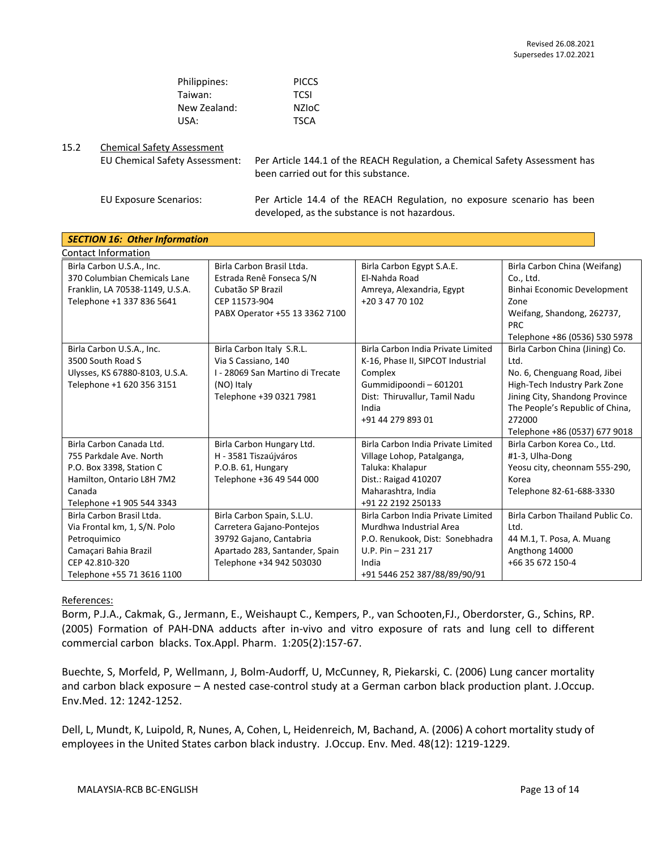| Philippines: | <b>PICCS</b> |
|--------------|--------------|
| Taiwan:      | <b>TCSI</b>  |
| New Zealand: | NZIoC        |
| USA:         | <b>TSCA</b>  |

#### 15.2 Chemical Safety Assessment

EU Chemical Safety Assessment: Per Article 144.1 of the REACH Regulation, a Chemical Safety Assessment has been carried out for this substance.

EU Exposure Scenarios: Per Article 14.4 of the REACH Regulation, no exposure scenario has been developed, as the substance is not hazardous.

| <b>SECTION 16: Other Information</b> |                                  |                                    |                                    |  |  |  |  |
|--------------------------------------|----------------------------------|------------------------------------|------------------------------------|--|--|--|--|
| <b>Contact Information</b>           |                                  |                                    |                                    |  |  |  |  |
| Birla Carbon U.S.A., Inc.            | Birla Carbon Brasil Ltda.        | Birla Carbon Egypt S.A.E.          | Birla Carbon China (Weifang)       |  |  |  |  |
| 370 Columbian Chemicals Lane         | Estrada Renê Fonseca S/N         | El-Nahda Road                      | Co., Ltd.                          |  |  |  |  |
| Franklin, LA 70538-1149, U.S.A.      | Cubatão SP Brazil                | Amreya, Alexandria, Egypt          | <b>Binhai Economic Development</b> |  |  |  |  |
| Telephone +1 337 836 5641            | CEP 11573-904                    | +20 3 47 70 102                    | Zone                               |  |  |  |  |
|                                      | PABX Operator +55 13 3362 7100   |                                    | Weifang, Shandong, 262737,         |  |  |  |  |
|                                      |                                  |                                    | <b>PRC</b>                         |  |  |  |  |
|                                      |                                  |                                    | Telephone +86 (0536) 530 5978      |  |  |  |  |
| Birla Carbon U.S.A., Inc.            | Birla Carbon Italy S.R.L.        | Birla Carbon India Private Limited | Birla Carbon China (Jining) Co.    |  |  |  |  |
| 3500 South Road S                    | Via S Cassiano, 140              | K-16, Phase II, SIPCOT Industrial  | Ltd.                               |  |  |  |  |
| Ulysses, KS 67880-8103, U.S.A.       | I - 28069 San Martino di Trecate | Complex                            | No. 6, Chenguang Road, Jibei       |  |  |  |  |
| Telephone +1 620 356 3151            | (NO) Italy                       | Gummidipoondi-601201               | High-Tech Industry Park Zone       |  |  |  |  |
|                                      | Telephone +39 0321 7981          | Dist: Thiruvallur, Tamil Nadu      | Jining City, Shandong Province     |  |  |  |  |
|                                      |                                  | India                              | The People's Republic of China,    |  |  |  |  |
|                                      |                                  | +91 44 279 893 01                  | 272000                             |  |  |  |  |
|                                      |                                  |                                    | Telephone +86 (0537) 677 9018      |  |  |  |  |
| Birla Carbon Canada Ltd.             | Birla Carbon Hungary Ltd.        | Birla Carbon India Private Limited | Birla Carbon Korea Co., Ltd.       |  |  |  |  |
| 755 Parkdale Ave. North              | H - 3581 Tiszaújváros            | Village Lohop, Patalganga,         | #1-3, Ulha-Dong                    |  |  |  |  |
| P.O. Box 3398, Station C             | P.O.B. 61, Hungary               | Taluka: Khalapur                   | Yeosu city, cheonnam 555-290,      |  |  |  |  |
| Hamilton, Ontario L8H 7M2            | Telephone +36 49 544 000         | Dist.: Raigad 410207               | Korea                              |  |  |  |  |
| Canada                               |                                  | Maharashtra, India                 | Telephone 82-61-688-3330           |  |  |  |  |
| Telephone +1 905 544 3343            |                                  | +91 22 2192 250133                 |                                    |  |  |  |  |
| Birla Carbon Brasil Ltda.            | Birla Carbon Spain, S.L.U.       | Birla Carbon India Private Limited | Birla Carbon Thailand Public Co.   |  |  |  |  |
| Via Frontal km, 1, S/N. Polo         | Carretera Gajano-Pontejos        | Murdhwa Industrial Area            | Ltd.                               |  |  |  |  |
| Petroquimico                         | 39792 Gajano, Cantabria          | P.O. Renukook, Dist: Sonebhadra    | 44 M.1, T. Posa, A. Muang          |  |  |  |  |
| Camaçari Bahia Brazil                | Apartado 283, Santander, Spain   | U.P. Pin $-231217$                 | Angthong 14000                     |  |  |  |  |
| CEP 42.810-320                       | Telephone +34 942 503030         | India                              | +66 35 672 150-4                   |  |  |  |  |
| Telephone +55 71 3616 1100           |                                  | +91 5446 252 387/88/89/90/91       |                                    |  |  |  |  |

#### References:

Borm, P.J.A., Cakmak, G., Jermann, E., Weishaupt C., Kempers, P., van Schooten,FJ., Oberdorster, G., Schins, RP. (2005) Formation of PAH-DNA adducts after in-vivo and vitro exposure of rats and lung cell to different commercial carbon blacks. Tox.Appl. Pharm. 1:205(2):157-67.

Buechte, S, Morfeld, P, Wellmann, J, Bolm-Audorff, U, McCunney, R, Piekarski, C. (2006) Lung cancer mortality and carbon black exposure – A nested case-control study at a German carbon black production plant. J.Occup. Env.Med. 12: 1242-1252.

Dell, L, Mundt, K, Luipold, R, Nunes, A, Cohen, L, Heidenreich, M, Bachand, A. (2006) A cohort mortality study of employees in the United States carbon black industry. J.Occup. Env. Med. 48(12): 1219-1229.